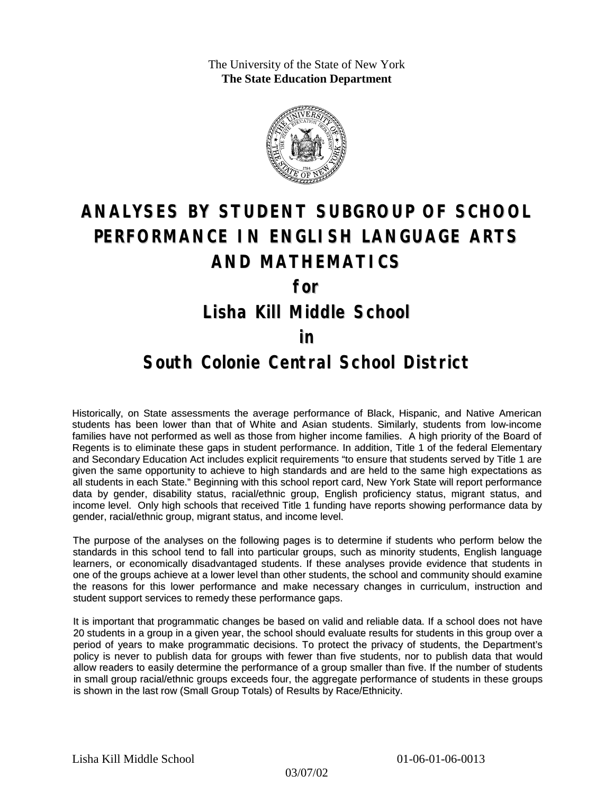The University of the State of New York **The State Education Department**



# **ANALYSES BY STUDENT SUBGROUP OF SCHOOL PERFORMANCE IN ENGLISH LANGUAGE ARTS AND MATHEMATICS**

**for**

**Lisha Kill Middle School**

#### **in**

### **South Colonie Central School District**

Historically, on State assessments the average performance of Black, Hispanic, and Native American students has been lower than that of White and Asian students. Similarly, students from low-income families have not performed as well as those from higher income families. A high priority of the Board of Regents is to eliminate these gaps in student performance. In addition, Title 1 of the federal Elementary and Secondary Education Act includes explicit requirements "to ensure that students served by Title 1 are given the same opportunity to achieve to high standards and are held to the same high expectations as all students in each State." Beginning with this school report card, New York State will report performance data by gender, disability status, racial/ethnic group, English proficiency status, migrant status, and income level. Only high schools that received Title 1 funding have reports showing performance data by gender, racial/ethnic group, migrant status, and income level.

The purpose of the analyses on the following pages is to determine if students who perform below the standards in this school tend to fall into particular groups, such as minority students, English language learners, or economically disadvantaged students. If these analyses provide evidence that students in one of the groups achieve at a lower level than other students, the school and community should examine the reasons for this lower performance and make necessary changes in curriculum, instruction and student support services to remedy these performance gaps.

It is important that programmatic changes be based on valid and reliable data. If a school does not have 20 students in a group in a given year, the school should evaluate results for students in this group over a period of years to make programmatic decisions. To protect the privacy of students, the Department's policy is never to publish data for groups with fewer than five students, nor to publish data that would allow readers to easily determine the performance of a group smaller than five. If the number of students in small group racial/ethnic groups exceeds four, the aggregate performance of students in these groups is shown in the last row (Small Group Totals) of Results by Race/Ethnicity.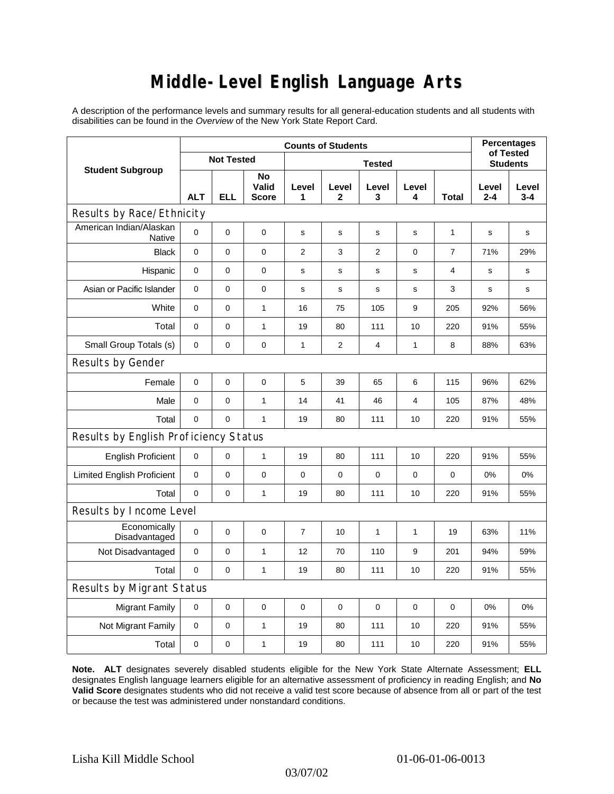# **Middle-Level English Language Arts**

A description of the performance levels and summary results for all general-education students and all students with disabilities can be found in the *Overview* of the New York State Report Card.

| <b>Student Subgroup</b>               | <b>Counts of Students</b> |             |                                    |                |                      |                |              |                | <b>Percentages</b><br>of Tested |                  |  |
|---------------------------------------|---------------------------|-------------|------------------------------------|----------------|----------------------|----------------|--------------|----------------|---------------------------------|------------------|--|
|                                       | <b>Not Tested</b>         |             |                                    | <b>Tested</b>  |                      |                |              |                | <b>Students</b>                 |                  |  |
|                                       | <b>ALT</b>                | <b>ELL</b>  | <b>No</b><br>Valid<br><b>Score</b> | Level<br>1     | Level<br>$\mathbf 2$ | Level<br>3     | Level<br>4   | <b>Total</b>   | Level<br>$2 - 4$                | Level<br>$3 - 4$ |  |
| Results by Race/Ethnicity             |                           |             |                                    |                |                      |                |              |                |                                 |                  |  |
| American Indian/Alaskan<br>Native     | $\Omega$                  | 0           | $\mathbf 0$                        | s              | s                    | S              | s            | $\mathbf{1}$   | s                               | s                |  |
| <b>Black</b>                          | 0                         | 0           | 0                                  | $\overline{2}$ | 3                    | $\overline{2}$ | $\mathbf 0$  | $\overline{7}$ | 71%                             | 29%              |  |
| Hispanic                              | 0                         | 0           | $\pmb{0}$                          | s              | s                    | $\mathbf s$    | s            | 4              | S                               | s                |  |
| Asian or Pacific Islander             | 0                         | 0           | $\mathbf 0$                        | s              | $\mathbf s$          | $\mathbf s$    | s            | 3              | s                               | s                |  |
| White                                 | 0                         | 0           | $\mathbf{1}$                       | 16             | 75                   | 105            | 9            | 205            | 92%                             | 56%              |  |
| Total                                 | $\mathbf 0$               | 0           | 1                                  | 19             | 80                   | 111            | 10           | 220            | 91%                             | 55%              |  |
| Small Group Totals (s)                | 0                         | 0           | $\mathbf 0$                        | $\mathbf{1}$   | $\overline{2}$       | $\overline{4}$ | $\mathbf{1}$ | 8              | 88%                             | 63%              |  |
| Results by Gender                     |                           |             |                                    |                |                      |                |              |                |                                 |                  |  |
| Female                                | $\mathbf 0$               | 0           | $\pmb{0}$                          | 5              | 39                   | 65             | 6            | 115            | 96%                             | 62%              |  |
| Male                                  | 0                         | 0           | $\mathbf{1}$                       | 14             | 41                   | 46             | 4            | 105            | 87%                             | 48%              |  |
| Total                                 | 0                         | 0           | $\mathbf{1}$                       | 19             | 80                   | 111            | 10           | 220            | 91%                             | 55%              |  |
| Results by English Proficiency Status |                           |             |                                    |                |                      |                |              |                |                                 |                  |  |
| <b>English Proficient</b>             | 0                         | 0           | $\mathbf{1}$                       | 19             | 80                   | 111            | 10           | 220            | 91%                             | 55%              |  |
| <b>Limited English Proficient</b>     | $\pmb{0}$                 | 0           | $\pmb{0}$                          | $\Omega$       | $\mathbf 0$          | 0              | $\mathbf 0$  | 0              | 0%                              | 0%               |  |
| Total                                 | $\mathbf 0$               | 0           | $\mathbf{1}$                       | 19             | 80                   | 111            | 10           | 220            | 91%                             | 55%              |  |
| Results by Income Level               |                           |             |                                    |                |                      |                |              |                |                                 |                  |  |
| Economically<br>Disadvantaged         | $\mathbf 0$               | 0           | $\mathbf 0$                        | $\overline{7}$ | 10                   | $\mathbf{1}$   | $\mathbf{1}$ | 19             | 63%                             | 11%              |  |
| Not Disadvantaged                     | $\mathbf 0$               | 0           | $\mathbf{1}$                       | 12             | 70                   | 110            | 9            | 201            | 94%                             | 59%              |  |
| Total                                 | $\mathbf 0$               | $\mathbf 0$ | $\mathbf{1}$                       | 19             | 80                   | 111            | 10           | 220            | 91%                             | 55%              |  |
| <b>Results by Migrant Status</b>      |                           |             |                                    |                |                      |                |              |                |                                 |                  |  |
| <b>Migrant Family</b>                 | 0                         | 0           | 0                                  | $\mathbf 0$    | 0                    | 0              | 0            | 0              | 0%                              | 0%               |  |
| Not Migrant Family                    | 0                         | 0           | $\mathbf{1}$                       | 19             | 80                   | 111            | 10           | 220            | 91%                             | 55%              |  |
| Total                                 | 0                         | 0           | $\mathbf{1}$                       | 19             | 80                   | 111            | 10           | 220            | 91%                             | 55%              |  |

**Note. ALT** designates severely disabled students eligible for the New York State Alternate Assessment; **ELL** designates English language learners eligible for an alternative assessment of proficiency in reading English; and **No Valid Score** designates students who did not receive a valid test score because of absence from all or part of the test or because the test was administered under nonstandard conditions.